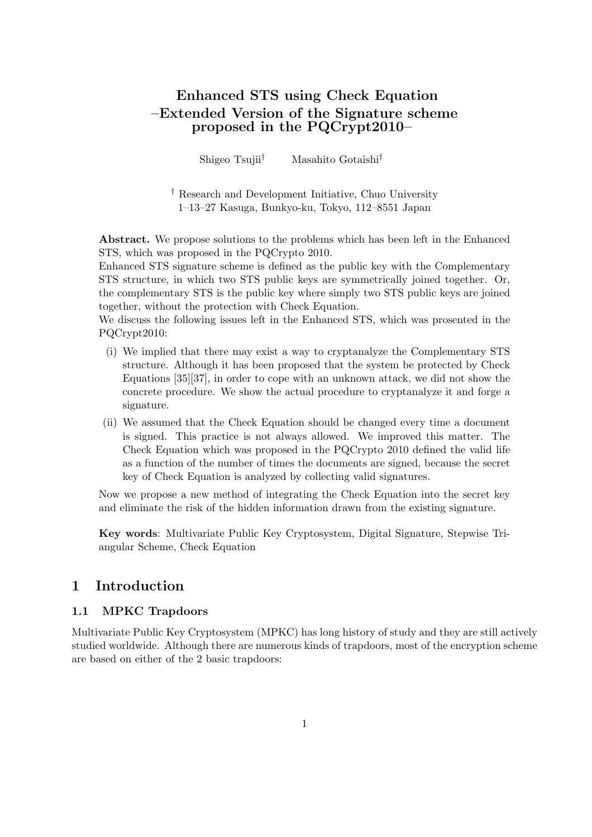# **Enhanced STS using Check Equation –Extended Version of the Signature scheme proposed in the PQCrypt2010–**

Shigeo Tsujii*†* Masahito Gotaishi*†*

*†* Research and Development Initiative, Chuo University 1–13–27 Kasuga, Bunkyo-ku, Tokyo, 112–8551 Japan

**Abstract.** We propose solutions to the problems which has been left in the Enhanced STS, which was proposed in the PQCrypto 2010.

Enhanced STS signature scheme is defined as the public key with the Complementary STS structure, in which two STS public keys are symmetrically joined together. Or, the complementary STS is the public key where simply two STS public keys are joined together, without the protection with Check Equation.

We discuss the following issues left in the Enhanced STS, which was prosented in the PQCrypt2010:

- (i) We implied that there may exist a way to cryptanalyze the Complementary STS structure. Although it has been proposed that the system be protected by Check Equations [35][37], in order to cope with an unknown attack, we did not show the concrete procedure. We show the actual procedure to cryptanalyze it and forge a signature.
- (ii) We assumed that the Check Equation should be changed every time a document is signed. This practice is not always allowed. We improved this matter. The Check Equation which was proposed in the PQCrypto 2010 defined the valid life as a function of the number of times the documents are signed, because the secret key of Check Equation is analyzed by collecting valid signatures.

Now we propose a new method of integrating the Check Equation into the secret key and eliminate the risk of the hidden information drawn from the existing signature.

**Key words**: Multivariate Public Key Cryptosystem, Digital Signature, Stepwise Triangular Scheme, Check Equation

# **1 Introduction**

### **1.1 MPKC Trapdoors**

Multivariate Public Key Cryptosystem (MPKC) has long history of study and they are still actively studied worldwide. Although there are numerous kinds of trapdoors, most of the encryption scheme are based on either of the 2 basic trapdoors: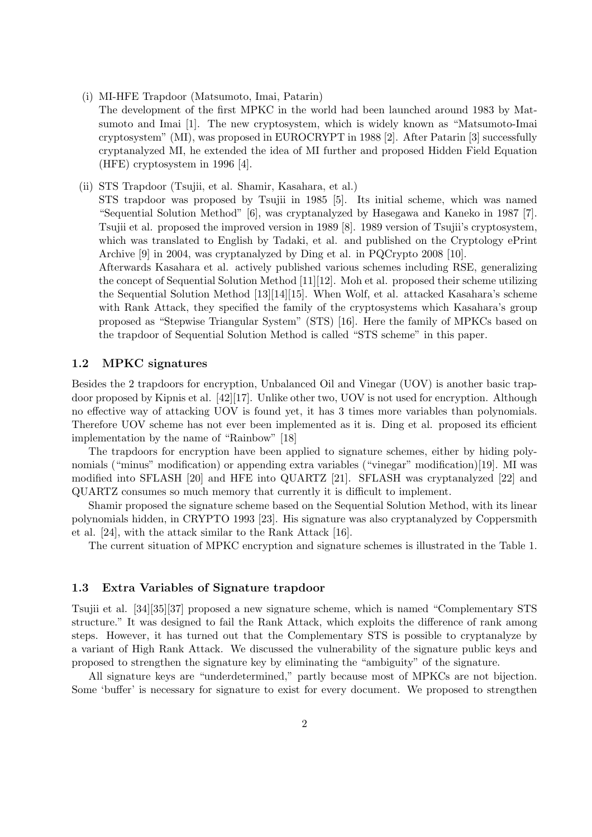- (i) MI-HFE Trapdoor (Matsumoto, Imai, Patarin)
	- The development of the first MPKC in the world had been launched around 1983 by Matsumoto and Imai [1]. The new cryptosystem, which is widely known as "Matsumoto-Imai cryptosystem" (MI), was proposed in EUROCRYPT in 1988 [2]. After Patarin [3] successfully cryptanalyzed MI, he extended the idea of MI further and proposed Hidden Field Equation (HFE) cryptosystem in 1996 [4].
- (ii) STS Trapdoor (Tsujii, et al. Shamir, Kasahara, et al.)

STS trapdoor was proposed by Tsujii in 1985 [5]. Its initial scheme, which was named "Sequential Solution Method" [6], was cryptanalyzed by Hasegawa and Kaneko in 1987 [7]. Tsujii et al. proposed the improved version in 1989 [8]. 1989 version of Tsujii's cryptosystem, which was translated to English by Tadaki, et al. and published on the Cryptology ePrint Archive [9] in 2004, was cryptanalyzed by Ding et al. in PQCrypto 2008 [10].

Afterwards Kasahara et al. actively published various schemes including RSE, generalizing the concept of Sequential Solution Method [11][12]. Moh et al. proposed their scheme utilizing the Sequential Solution Method [13][14][15]. When Wolf, et al. attacked Kasahara's scheme with Rank Attack, they specified the family of the cryptosystems which Kasahara's group proposed as "Stepwise Triangular System" (STS) [16]. Here the family of MPKCs based on the trapdoor of Sequential Solution Method is called "STS scheme" in this paper.

### **1.2 MPKC signatures**

Besides the 2 trapdoors for encryption, Unbalanced Oil and Vinegar (UOV) is another basic trapdoor proposed by Kipnis et al. [42][17]. Unlike other two, UOV is not used for encryption. Although no effective way of attacking UOV is found yet, it has 3 times more variables than polynomials. Therefore UOV scheme has not ever been implemented as it is. Ding et al. proposed its efficient implementation by the name of "Rainbow" [18]

The trapdoors for encryption have been applied to signature schemes, either by hiding polynomials ("minus" modification) or appending extra variables ("vinegar" modification)[19]. MI was modified into SFLASH [20] and HFE into QUARTZ [21]. SFLASH was cryptanalyzed [22] and QUARTZ consumes so much memory that currently it is difficult to implement.

Shamir proposed the signature scheme based on the Sequential Solution Method, with its linear polynomials hidden, in CRYPTO 1993 [23]. His signature was also cryptanalyzed by Coppersmith et al. [24], with the attack similar to the Rank Attack [16].

The current situation of MPKC encryption and signature schemes is illustrated in the Table 1.

### **1.3 Extra Variables of Signature trapdoor**

Tsujii et al. [34][35][37] proposed a new signature scheme, which is named "Complementary STS structure." It was designed to fail the Rank Attack, which exploits the difference of rank among steps. However, it has turned out that the Complementary STS is possible to cryptanalyze by a variant of High Rank Attack. We discussed the vulnerability of the signature public keys and proposed to strengthen the signature key by eliminating the "ambiguity" of the signature.

All signature keys are "underdetermined," partly because most of MPKCs are not bijection. Some 'buffer' is necessary for signature to exist for every document. We proposed to strengthen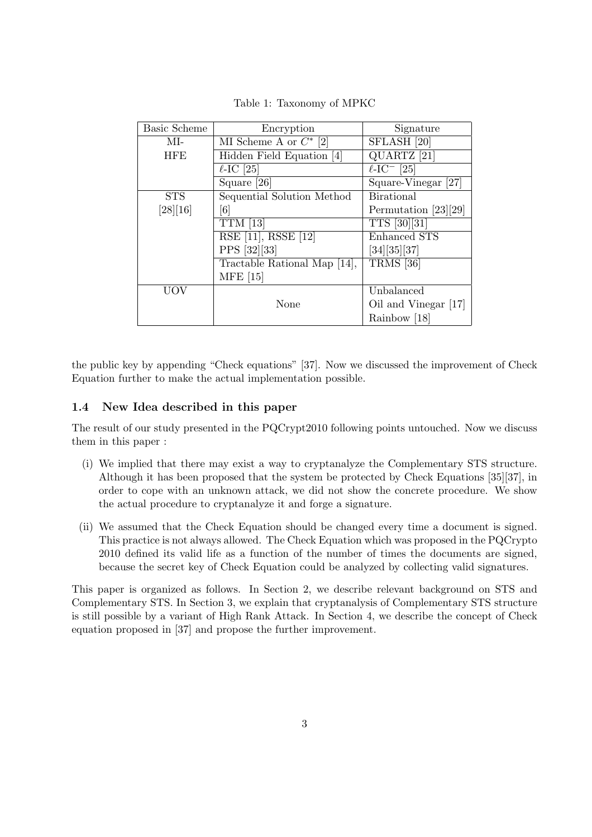| <b>Basic Scheme</b> | Encryption                   | Signature                               |
|---------------------|------------------------------|-----------------------------------------|
| MI-                 | MI Scheme A or $C^*$ [2]     | SFLASH [20]                             |
| <b>HFE</b>          | Hidden Field Equation [4]    | QUARTZ <sup>[21]</sup>                  |
|                     | $\ell$ -IC [25]              | $\overline{\ell}\text{-IC}$ [25]        |
|                     | Square [26]                  | $\overline{\text{Square-Vinegar}}$ [27] |
| <b>STS</b>          | Sequential Solution Method   | <b>Birational</b>                       |
| [28][16]            | $6\vert$                     | Permutation [23][29]                    |
|                     | $TTM$ [13]                   | TTS [30][31]                            |
|                     | RSE [11], RSSE [12]          | Enhanced STS                            |
|                     | PPS [32][33]                 | [34][35][37]                            |
|                     | Tractable Rational Map [14], | $TRMS$ [36]                             |
|                     | <b>MFE</b> [15]              |                                         |
| <b>UOV</b>          |                              | Unbalanced                              |
|                     | None                         | Oil and Vinegar [17]                    |
|                     |                              | Rainbow [18]                            |

Table 1: Taxonomy of MPKC

the public key by appending "Check equations" [37]. Now we discussed the improvement of Check Equation further to make the actual implementation possible.

### **1.4 New Idea described in this paper**

The result of our study presented in the PQCrypt2010 following points untouched. Now we discuss them in this paper :

- (i) We implied that there may exist a way to cryptanalyze the Complementary STS structure. Although it has been proposed that the system be protected by Check Equations [35][37], in order to cope with an unknown attack, we did not show the concrete procedure. We show the actual procedure to cryptanalyze it and forge a signature.
- (ii) We assumed that the Check Equation should be changed every time a document is signed. This practice is not always allowed. The Check Equation which was proposed in the PQCrypto 2010 defined its valid life as a function of the number of times the documents are signed, because the secret key of Check Equation could be analyzed by collecting valid signatures.

This paper is organized as follows. In Section 2, we describe relevant background on STS and Complementary STS. In Section 3, we explain that cryptanalysis of Complementary STS structure is still possible by a variant of High Rank Attack. In Section 4, we describe the concept of Check equation proposed in [37] and propose the further improvement.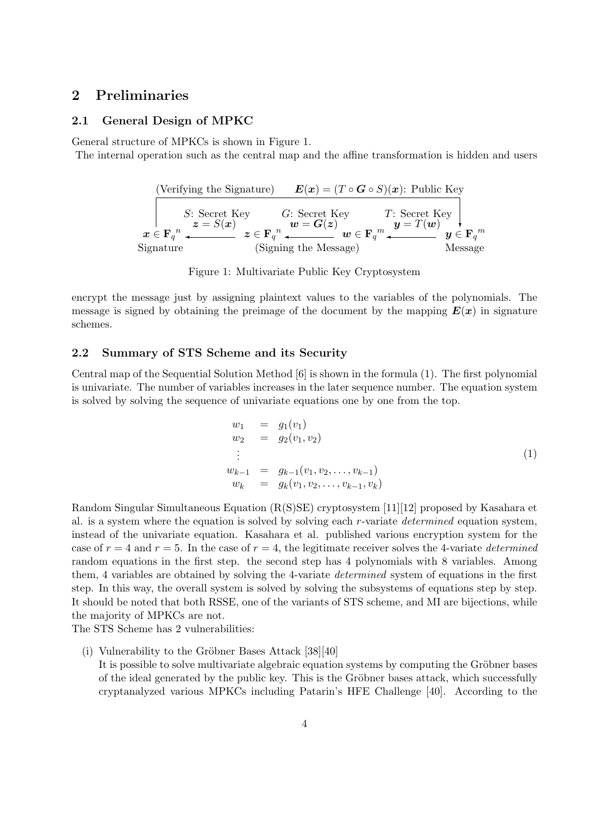# **2 Preliminaries**

### **2.1 General Design of MPKC**

General structure of MPKCs is shown in Figure 1.

The internal operation such as the central map and the affine transformation is hidden and users



Figure 1: Multivariate Public Key Cryptosystem

encrypt the message just by assigning plaintext values to the variables of the polynomials. The message is signed by obtaining the preimage of the document by the mapping  $E(x)$  in signature schemes.

### **2.2 Summary of STS Scheme and its Security**

Central map of the Sequential Solution Method [6] is shown in the formula (1). The first polynomial is univariate. The number of variables increases in the later sequence number. The equation system is solved by solving the sequence of univariate equations one by one from the top.

$$
w_1 = g_1(v_1)
$$
  
\n
$$
w_2 = g_2(v_1, v_2)
$$
  
\n
$$
\vdots
$$
  
\n
$$
w_{k-1} = g_{k-1}(v_1, v_2, \dots, v_{k-1})
$$
  
\n
$$
w_k = g_k(v_1, v_2, \dots, v_{k-1}, v_k)
$$
  
\n(1)

Random Singular Simultaneous Equation (R(S)SE) cryptosystem [11][12] proposed by Kasahara et al. is a system where the equation is solved by solving each *r*-variate *determined* equation system, instead of the univariate equation. Kasahara et al. published various encryption system for the case of  $r = 4$  and  $r = 5$ . In the case of  $r = 4$ , the legitimate receiver solves the 4-variate *determined* random equations in the first step. the second step has 4 polynomials with 8 variables. Among them, 4 variables are obtained by solving the 4-variate *determined* system of equations in the first step. In this way, the overall system is solved by solving the subsystems of equations step by step. It should be noted that both RSSE, one of the variants of STS scheme, and MI are bijections, while the majority of MPKCs are not.

The STS Scheme has 2 vulnerabilities:

(i) Vulnerability to the Gröbner Bases Attack  $[38][40]$ It is possible to solve multivariate algebraic equation systems by computing the Gröbner bases of the ideal generated by the public key. This is the Gröbner bases attack, which successfully cryptanalyzed various MPKCs including Patarin's HFE Challenge [40]. According to the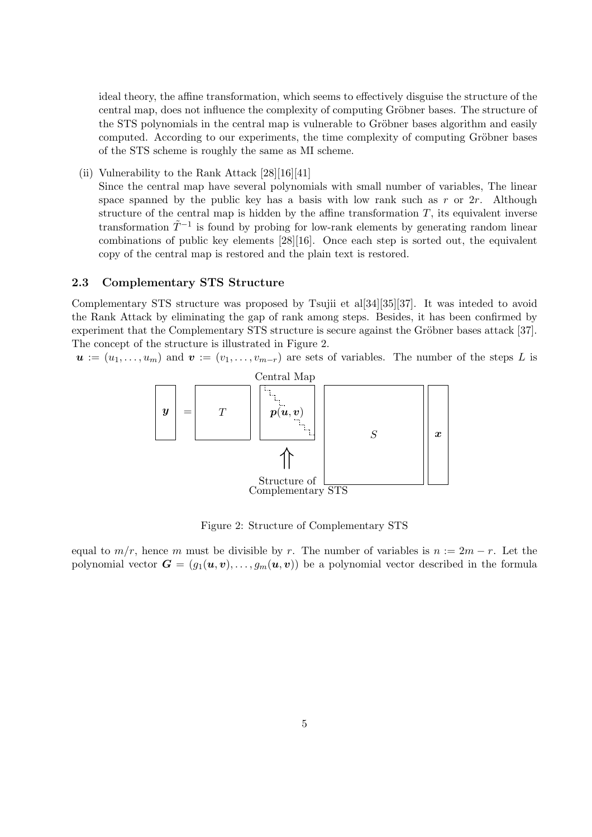ideal theory, the affine transformation, which seems to effectively disguise the structure of the central map, does not influence the complexity of computing Gröbner bases. The structure of the STS polynomials in the central map is vulnerable to Gröbner bases algorithm and easily computed. According to our experiments, the time complexity of computing Gröbner bases of the STS scheme is roughly the same as MI scheme.

(ii) Vulnerability to the Rank Attack [28][16][41]

Since the central map have several polynomials with small number of variables, The linear space spanned by the public key has a basis with low rank such as *r* or 2*r*. Although structure of the central map is hidden by the affine transformation  $T$ , its equivalent inverse transformation  $\tilde{T}^{-1}$  is found by probing for low-rank elements by generating random linear combinations of public key elements [28][16]. Once each step is sorted out, the equivalent copy of the central map is restored and the plain text is restored.

### **2.3 Complementary STS Structure**

Complementary STS structure was proposed by Tsujii et al[34][35][37]. It was inteded to avoid the Rank Attack by eliminating the gap of rank among steps. Besides, it has been confirmed by experiment that the Complementary STS structure is secure against the Gröbner bases attack [37]. The concept of the structure is illustrated in Figure 2.

 $u := (u_1, \ldots, u_m)$  and  $v := (v_1, \ldots, v_{m-r})$  are sets of variables. The number of the steps *L* is



Figure 2: Structure of Complementary STS

equal to  $m/r$ , hence *m* must be divisible by *r*. The number of variables is  $n := 2m - r$ . Let the polynomial vector  $G = (g_1(\boldsymbol{u}, \boldsymbol{v}), \dots, g_m(\boldsymbol{u}, \boldsymbol{v}))$  be a polynomial vector described in the formula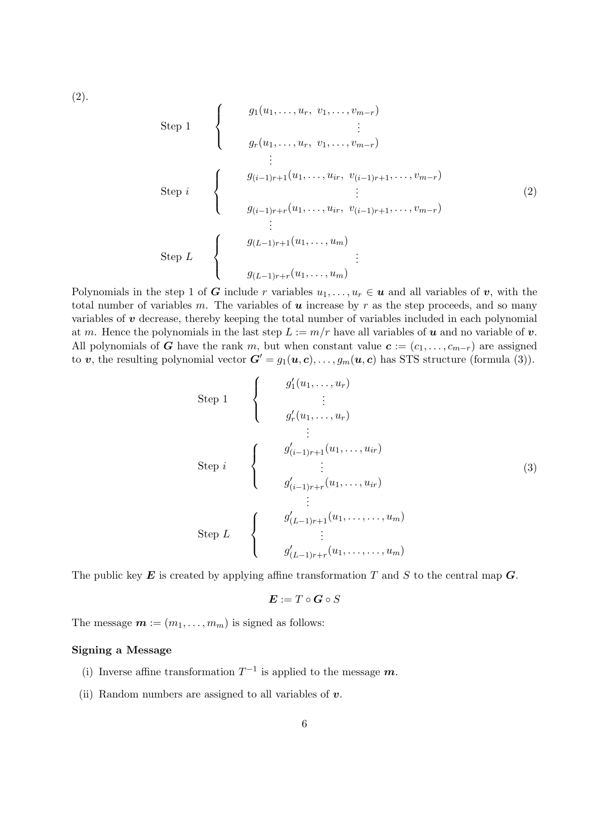(2).

Step 1  
\nStep 1  
\n
$$
\begin{cases}\ng_1(u_1, \ldots, u_r, v_1, \ldots, v_{m-r}) \\
\vdots \\
g_r(u_1, \ldots, u_r, v_1, \ldots, v_{m-r})\n\end{cases}
$$
\nStep i  
\nStep 1  
\n
$$
\begin{cases}\ng_{(i-1)r+1}(u_1, \ldots, u_{ir}, v_{(i-1)r+1}, \ldots, v_{m-r}) \\
\vdots \\
g_{(i-1)r+r}(u_1, \ldots, u_m)\n\end{cases}
$$
\nStep L  
\n
$$
\begin{cases}\ng_{(L-1)r+1}(u_1, \ldots, u_m) \\
\vdots \\
g_{(L-1)r+r}(u_1, \ldots, u_m)\n\end{cases}
$$
\n(2)

Polynomials in the step 1 of *G* include *r* variables  $u_1, \ldots, u_r \in \mathbf{u}$  and all variables of *v*, with the total number of variables  $m$ . The variables of  $u$  increase by  $r$  as the step proceeds, and so many variables of *v* decrease, thereby keeping the total number of variables included in each polynomial at *m*. Hence the polynomials in the last step  $L := m/r$  have all variables of *u* and no variable of *v*. All polynomials of *G* have the rank *m*, but when constant value  $c := (c_1, \ldots, c_{m-r})$  are assigned to *v*, the resulting polynomial vector  $G' = g_1(u, c), \ldots, g_m(u, c)$  has STS structure (formula (3)).

Step 1  
\n
$$
\begin{cases}\n g'_1(u_1, ..., u_r) \\
 \vdots \\
 g'_r(u_1, ..., u_r)\n \end{cases}
$$
\nStep i  
\n
$$
\begin{cases}\n g'_{(i-1)r+1}(u_1, ..., u_{ir}) \\
 \vdots \\
 g'_{(i-1)r+r}(u_1, ..., u_{ir})\n \end{cases}
$$
\nStep L  
\n
$$
\begin{cases}\n g'_{(L-1)r+1}(u_1, ..., u_m) \\
 \vdots \\
 g'_{(L-1)r+r}(u_1, ..., ..., u_m)\n \end{cases}
$$
\n(3)

The public key *E* is created by applying affine transformation *T* and *S* to the central map *G*.

$$
\boldsymbol{E}:=T\circ\boldsymbol{G}\circ S
$$

The message  $\mathbf{m} := (m_1, \ldots, m_m)$  is signed as follows:

### **Signing a Message**

- (i) Inverse affine transformation  $T^{-1}$  is applied to the message  $m$ .
- (ii) Random numbers are assigned to all variables of *v*.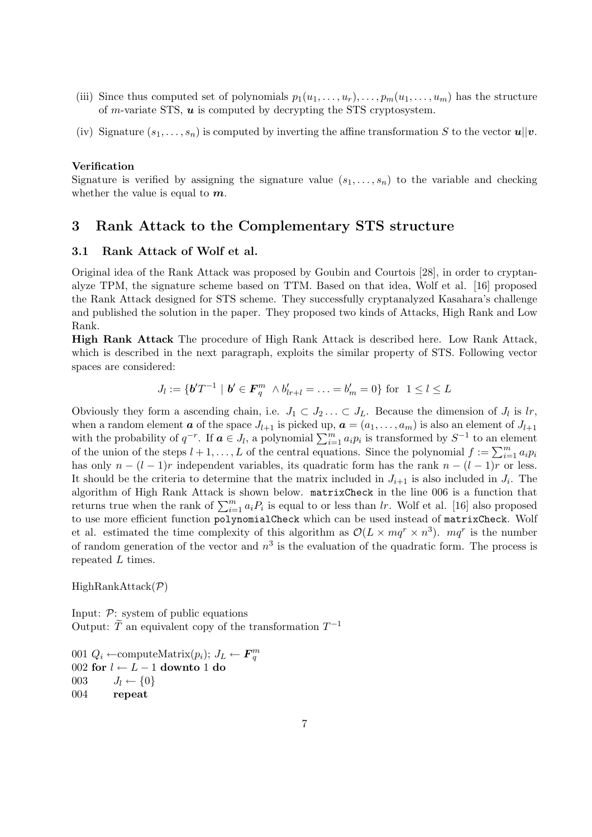- (iii) Since thus computed set of polynomials  $p_1(u_1, \ldots, u_r), \ldots, p_m(u_1, \ldots, u_m)$  has the structure of *m*-variate STS, *u* is computed by decrypting the STS cryptosystem.
- (iv) Signature  $(s_1, \ldots, s_n)$  is computed by inverting the affine transformation *S* to the vector  $u||v$ .

#### **Verification**

Signature is verified by assigning the signature value  $(s_1, \ldots, s_n)$  to the variable and checking whether the value is equal to *m*.

### **3 Rank Attack to the Complementary STS structure**

### **3.1 Rank Attack of Wolf et al.**

Original idea of the Rank Attack was proposed by Goubin and Courtois [28], in order to cryptanalyze TPM, the signature scheme based on TTM. Based on that idea, Wolf et al. [16] proposed the Rank Attack designed for STS scheme. They successfully cryptanalyzed Kasahara's challenge and published the solution in the paper. They proposed two kinds of Attacks, High Rank and Low Rank.

**High Rank Attack** The procedure of High Rank Attack is described here. Low Rank Attack, which is described in the next paragraph, exploits the similar property of STS. Following vector spaces are considered:

$$
J_l := \{ \mathbf{b}' T^{-1} \mid \mathbf{b}' \in \mathbf{F}_q^m \land b'_{l r + l} = \ldots = b'_m = 0 \} \text{ for } 1 \le l \le L
$$

Obviously they form a ascending chain, i.e.  $J_1 \subset J_2 \ldots \subset J_L$ . Because the dimension of  $J_l$  is  $lr$ , when a random element *a* of the space  $J_{l+1}$  is picked up,  $a = (a_1, \ldots, a_m)$  is also an element of  $J_{l+1}$ with the probability of  $q^{-r}$ . If  $a \in J_l$ , a polynomial  $\sum_{i=1}^m a_i p_i$  is transformed by  $S^{-1}$  to an element of the union of the steps  $l + 1, \ldots, L$  of the central equations. Since the polynomial  $f := \sum_{i=1}^{m} a_i p_i$ has only  $n - (l - 1)r$  independent variables, its quadratic form has the rank  $n - (l - 1)r$  or less. It should be the criteria to determine that the matrix included in  $J_{i+1}$  is also included in  $J_i$ . The algorithm of High Rank Attack is shown below. matrixCheck in the line 006 is a function that returns true when the rank of  $\sum_{i=1}^{m} a_i P_i$  is equal to or less than *lr*. Wolf et al. [16] also proposed to use more efficient function polynomialCheck which can be used instead of matrixCheck. Wolf et al. estimated the time complexity of this algorithm as  $\mathcal{O}(L \times mq^r \times n^3)$ .  $mq^r$  is the number of random generation of the vector and *n* 3 is the evaluation of the quadratic form. The process is repeated *L* times.

HighRankAttack(*P*)

Input: *P*: system of public equations Output:  $\widetilde{T}$  an equivalent copy of the transformation  $T^{-1}$ 

 $Q_i$  ← computeMatrix $(p_i)$ ;  $J_L$  ←  $\mathbf{F}_q^m$  **for** *l ← L −* 1 **downto** 1 **do**  $J_l \leftarrow \{0\}$ 004 **repeat**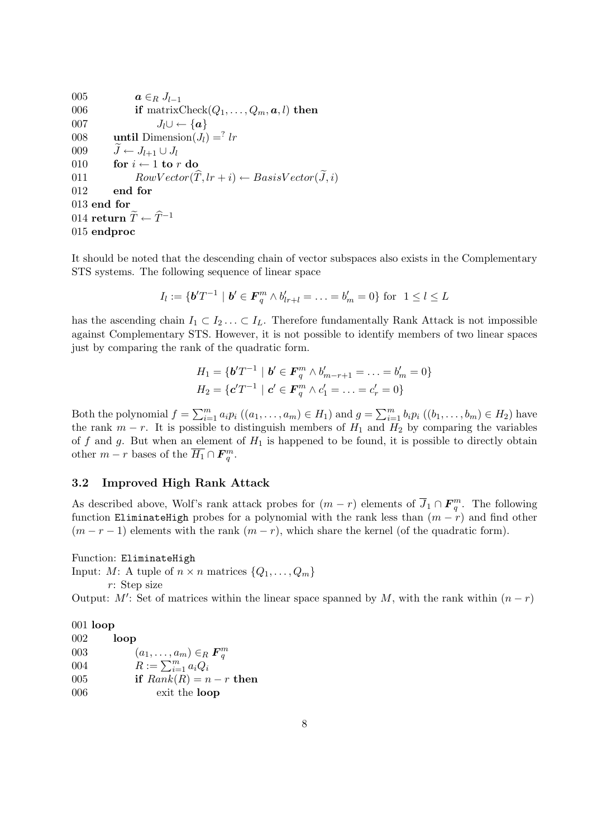005  $a \in_R J_{l-1}$ <br>006 **if** matrix if matrixCheck $(Q_1, \ldots, Q_m, \mathbf{a}, l)$  then 007 *J*<sub>*l*</sub> $\cup$  ← { $a$ } 008 **until** Dimension $(J_l) = ?$  *lr* 009  $\overline{J} \leftarrow J_{l+1} \cup J_l$ <br>010 **for**  $i \leftarrow 1$  **to** *i* for  $i \leftarrow 1$  to  $r$  do 011 *RowVector* $(\widehat{T}, lr + i) \leftarrow BasisVector(\widetilde{J}, i)$ <br>012 **end for** end for 013 **end for**  $014$  **return**  $\widetilde{T} \leftarrow \widehat{T}^{-1}$ 015 **endproc**

It should be noted that the descending chain of vector subspaces also exists in the Complementary STS systems. The following sequence of linear space

$$
I_l := \{ \mathbf{b}' T^{-1} \mid \mathbf{b}' \in \mathbf{F}_q^m \land b'_{lr+l} = \ldots = b'_m = 0 \} \text{ for } 1 \leq l \leq L
$$

has the ascending chain  $I_1 \subset I_2 \ldots \subset I_L$ . Therefore fundamentally Rank Attack is not impossible against Complementary STS. However, it is not possible to identify members of two linear spaces just by comparing the rank of the quadratic form.

$$
H_1 = \{ \mathbf{b}' T^{-1} \mid \mathbf{b}' \in \mathbf{F}_q^m \land b'_{m-r+1} = \ldots = b'_m = 0 \}
$$
  

$$
H_2 = \{ \mathbf{c}' T^{-1} \mid \mathbf{c}' \in \mathbf{F}_q^m \land c'_1 = \ldots = c'_r = 0 \}
$$

Both the polynomial  $f = \sum_{i=1}^{m} a_i p_i ((a_1, \ldots, a_m) \in H_1)$  and  $g = \sum_{i=1}^{m} b_i p_i ((b_1, \ldots, b_m) \in H_2)$  have the rank  $m - r$ . It is possible to distinguish members of  $H_1$  and  $H_2$  by comparing the variables of *f* and *g*. But when an element of *H*<sup>1</sup> is happened to be found, it is possible to directly obtain other  $m - r$  bases of the  $\overline{H_1} \cap \overline{F_q^m}$ .

### **3.2 Improved High Rank Attack**

As described above, Wolf's rank attack probes for  $(m - r)$  elements of  $\overline{J}_1 \cap \overline{F}_q^m$ . The following function EliminateHigh probes for a polynomial with the rank less than  $(m - r)$  and find other  $(m - r - 1)$  elements with the rank  $(m - r)$ , which share the kernel (of the quadratic form).

Function: EliminateHigh

Input: *M*: A tuple of  $n \times n$  matrices  $\{Q_1, \ldots, Q_m\}$ 

*r*: Step size

Output: *M'*: Set of matrices within the linear space spanned by *M*, with the rank within  $(n - r)$ 

001 **loop**

002 **loop**  $(a_1, \ldots, a_m) \in_R \mathbf{F}_q^m$ <br>  $R := \sum_{i=1}^m a_i Q_i$ **if**  $Rank(R) = n - r$  **then** exit the **loop**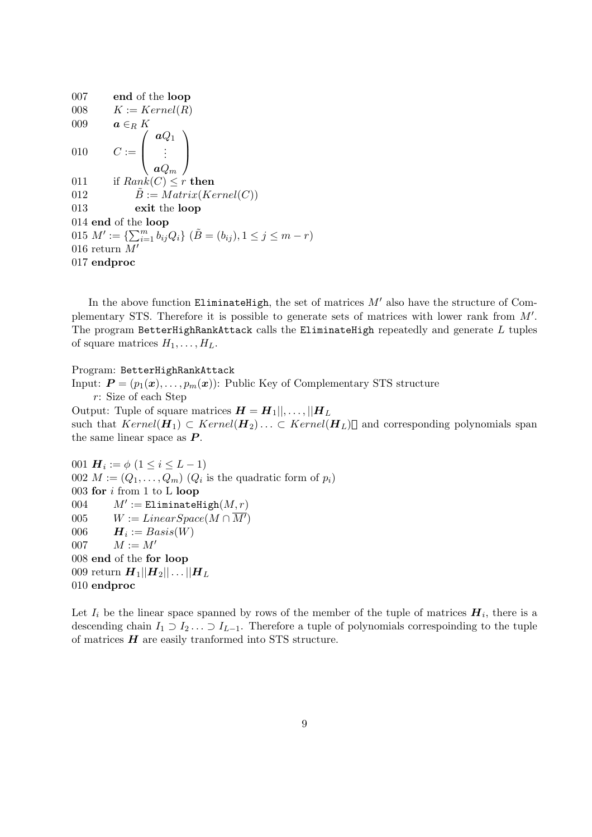007 **end** of the **loop** 008  $K := Kernel(R)$ 009  $a \in_R K$ 010  $C :=$  $\sqrt{ }$  $\overline{\mathcal{L}}$ *aQ*<sup>1</sup> . . . *aQ<sup>m</sup>*  $\setminus$  $\Big\}$ 011 if  $Rank(C) < r$  **then** 012  $\ddot{B} := Matrix(Kernel(C))$ 013 **exit** the **loop** 014 **end** of the **loop**  $015 M' := \{ \sum_{i=1}^{m} b_{ij} Q_i \}$   $(\tilde{B} = (b_{ij}), 1 \leq j \leq m - r)$ 016 return *M′* 017 **endproc**

In the above function EliminateHigh, the set of matrices  $M'$  also have the structure of Complementary STS. Therefore it is possible to generate sets of matrices with lower rank from *M′* . The program BetterHighRankAttack calls the EliminateHigh repeatedly and generate *L* tuples of square matrices  $H_1, \ldots, H_L$ .

Program: BetterHighRankAttack

Input:  $P = (p_1(x), \ldots, p_m(x))$ : Public Key of Complementary STS structure *r*: Size of each Step Output: Tuple of square matrices  $H = H_1 ||, \ldots, ||H_L$ 

such that  $Kernel(\mathbf{H}_1) \subset Kernel(\mathbf{H}_2) \ldots \subset Kernel(\mathbf{H}_L)$  and corresponding polynomials span the same linear space as *P* .

001  $H_i := \phi \ (1 \leq i \leq L - 1)$  $002 M := (Q_1, \ldots, Q_m)$   $(Q_i$  is the quadratic form of  $p_i$ ) 003 **for** *i* from 1 to L **loop** 004 *M′*  $M' :=$  EliminateHigh $(M, r)$ 005  $W := LinearSpace(M \cap \overline{M'})$  $006$  *H*<sub>*i*</sub> := *Basis*(*W*) 007  $M := M'$ 008 **end** of the **for loop** 009 return  $H_1 || H_2 || \ldots || H_L$ 010 **endproc**

Let  $I_i$  be the linear space spanned by rows of the member of the tuple of matrices  $H_i$ , there is a descending chain  $I_1 \supset I_2 \ldots \supset I_{L-1}$ . Therefore a tuple of polynomials correspoinding to the tuple of matrices *H* are easily tranformed into STS structure.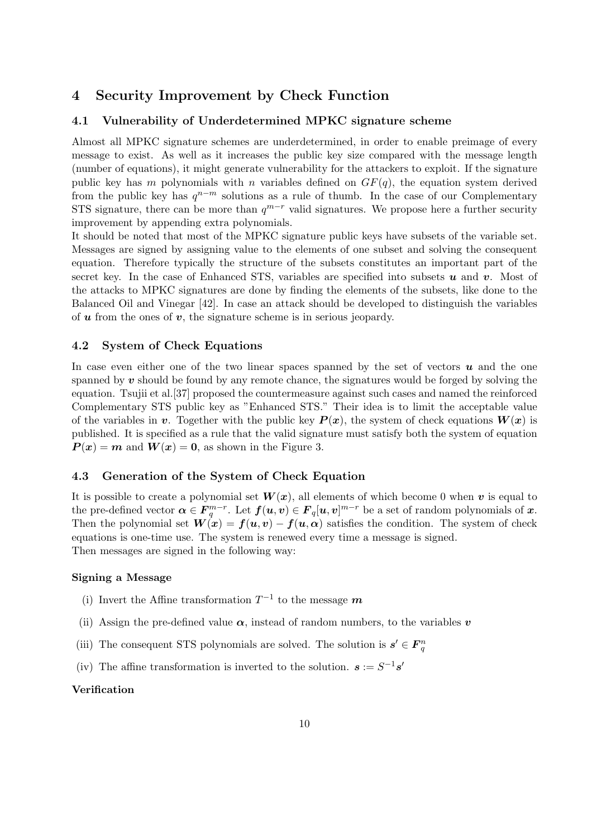# **4 Security Improvement by Check Function**

### **4.1 Vulnerability of Underdetermined MPKC signature scheme**

Almost all MPKC signature schemes are underdetermined, in order to enable preimage of every message to exist. As well as it increases the public key size compared with the message length (number of equations), it might generate vulnerability for the attackers to exploit. If the signature public key has *m* polynomials with *n* variables defined on  $GF(q)$ , the equation system derived from the public key has  $q^{n-m}$  solutions as a rule of thumb. In the case of our Complementary STS signature, there can be more than  $q^{m-r}$  valid signatures. We propose here a further security improvement by appending extra polynomials.

It should be noted that most of the MPKC signature public keys have subsets of the variable set. Messages are signed by assigning value to the elements of one subset and solving the consequent equation. Therefore typically the structure of the subsets constitutes an important part of the secret key. In the case of Enhanced STS, variables are specified into subsets *u* and *v*. Most of the attacks to MPKC signatures are done by finding the elements of the subsets, like done to the Balanced Oil and Vinegar [42]. In case an attack should be developed to distinguish the variables of *u* from the ones of *v*, the signature scheme is in serious jeopardy.

### **4.2 System of Check Equations**

In case even either one of the two linear spaces spanned by the set of vectors *u* and the one spanned by *v* should be found by any remote chance, the signatures would be forged by solving the equation. Tsujii et al.[37] proposed the countermeasure against such cases and named the reinforced Complementary STS public key as "Enhanced STS." Their idea is to limit the acceptable value of the variables in *v*. Together with the public key  $P(x)$ , the system of check equations  $W(x)$  is published. It is specified as a rule that the valid signature must satisfy both the system of equation  $P(x) = m$  and  $W(x) = 0$ , as shown in the Figure 3.

### **4.3 Generation of the System of Check Equation**

It is possible to create a polynomial set  $W(x)$ , all elements of which become 0 when *v* is equal to the pre-defined vector  $\boldsymbol{\alpha} \in \mathbf{F}_q^{m-r}$ . Let  $f(\boldsymbol{u}, \boldsymbol{v}) \in \mathbf{F}_q[\boldsymbol{u}, \boldsymbol{v}]^{m-r}$  be a set of random polynomials of  $\boldsymbol{x}$ . Then the polynomial set  $W(x) = f(u, v) - f(u, \alpha)$  satisfies the condition. The system of check equations is one-time use. The system is renewed every time a message is signed. Then messages are signed in the following way:

#### **Signing a Message**

- (i) Invert the Affine transformation  $T^{-1}$  to the message  $m$
- (ii) Assign the pre-defined value  $\alpha$ , instead of random numbers, to the variables  $v$
- (iii) The consequent STS polynomials are solved. The solution is  $s' \in F_q^n$
- (iv) The affine transformation is inverted to the solution.  $s := S^{-1}s'$

#### **Verification**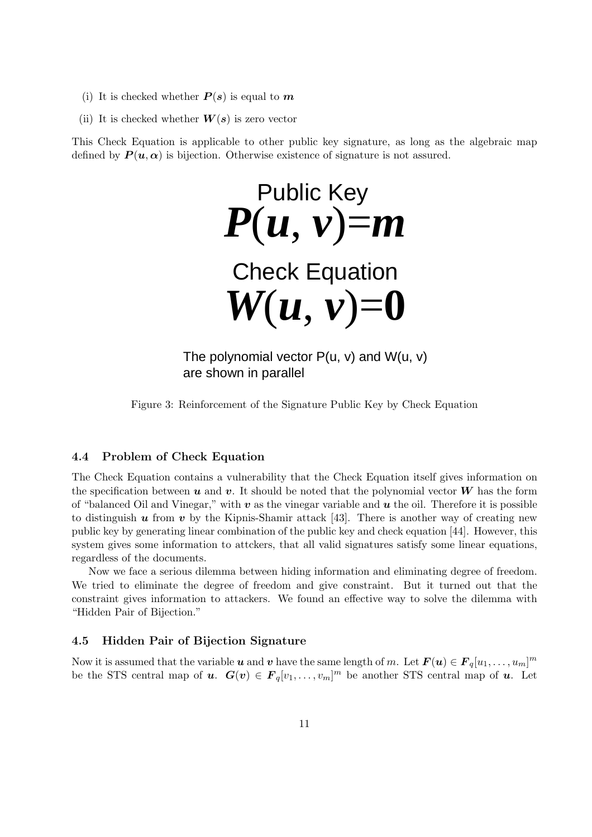- (i) It is checked whether  $P(s)$  is equal to  $m$
- (ii) It is checked whether  $W(s)$  is zero vector

This Check Equation is applicable to other public key signature, as long as the algebraic map defined by  $P(u, \alpha)$  is bijection. Otherwise existence of signature is not assured.

 $P(u, v) = m$ Public Key  $W(u, v) = 0$ Check Equation

The polynomial vector  $P(u, v)$  and  $W(u, v)$ are shown in parallel

Figure 3: Reinforcement of the Signature Public Key by Check Equation

### **4.4 Problem of Check Equation**

The Check Equation contains a vulnerability that the Check Equation itself gives information on the specification between  $u$  and  $v$ . It should be noted that the polynomial vector  $W$  has the form of "balanced Oil and Vinegar," with  $v$  as the vinegar variable and  $u$  the oil. Therefore it is possible to distinguish  $u$  from  $v$  by the Kipnis-Shamir attack [43]. There is another way of creating new public key by generating linear combination of the public key and check equation [44]. However, this system gives some information to attckers, that all valid signatures satisfy some linear equations, regardless of the documents.

Now we face a serious dilemma between hiding information and eliminating degree of freedom. We tried to eliminate the degree of freedom and give constraint. But it turned out that the constraint gives information to attackers. We found an effective way to solve the dilemma with "Hidden Pair of Bijection."

### **4.5 Hidden Pair of Bijection Signature**

Now it is assumed that the variable *u* and *v* have the same length of *m*. Let  $F(u) \in F_q[u_1, \ldots, u_m]^m$ be the STS central map of *u*.  $G(v) \in F_q[v_1, \ldots, v_m]^m$  be another STS central map of *u*. Let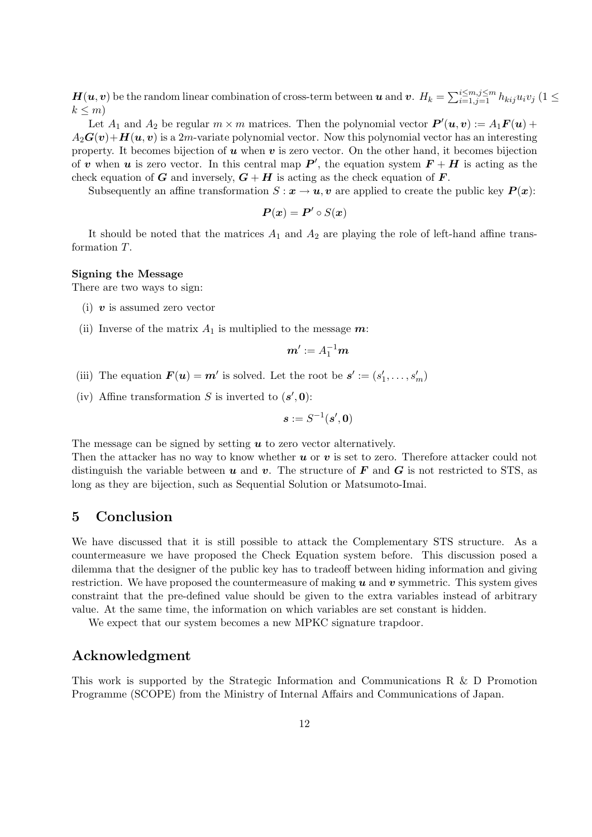$\bm{H}(\bm{u},\bm{v})$  be the random linear combination of cross-term between  $\bm{u}$  and  $\bm{v}$ .  $H_k = \sum_{i=1,j=1}^{i\leq m, j\leq m} h_{kij} u_iv_j$  (1  $\leq$  $k \leq m$ 

Let  $A_1$  and  $A_2$  be regular  $m \times m$  matrices. Then the polynomial vector  $P'(u, v) := A_1 F(u) +$  $A_2\mathbf{G}(v)+\mathbf{H}(u,v)$  is a 2*m*-variate polynomial vector. Now this polynomial vector has an interesting property. It becomes bijection of *u* when *v* is zero vector. On the other hand, it becomes bijection of *v* when *u* is zero vector. In this central map  $P'$ , the equation system  $F + H$  is acting as the check equation of *G* and inversely,  $G + H$  is acting as the check equation of *F*.

Subsequently an affine transformation  $S: \mathbf{x} \to \mathbf{u}, \mathbf{v}$  are applied to create the public key  $P(\mathbf{x})$ :

$$
\boldsymbol{P}(\boldsymbol{x}) = \boldsymbol{P}' \circ S(\boldsymbol{x})
$$

It should be noted that the matrices  $A_1$  and  $A_2$  are playing the role of left-hand affine transformation *T*.

#### **Signing the Message**

There are two ways to sign:

- (i) *v* is assumed zero vector
- (ii) Inverse of the matrix  $A_1$  is multiplied to the message  $m$ :

$$
\boldsymbol{m}':=A_1^{-1}\boldsymbol{m}
$$

- (iii) The equation  $\mathbf{F}(\mathbf{u}) = \mathbf{m}'$  is solved. Let the root be  $\mathbf{s}' := (s'_1, \ldots, s'_m)$
- (iv) Affine transformation *S* is inverted to  $(s', 0)$ :

$$
\boldsymbol{s}:=S^{-1}(\boldsymbol{s}',\boldsymbol{0})
$$

The message can be signed by setting *u* to zero vector alternatively.

Then the attacker has no way to know whether *u* or *v* is set to zero. Therefore attacker could not distinguish the variable between  $u$  and  $v$ . The structure of  $F$  and  $G$  is not restricted to STS, as long as they are bijection, such as Sequential Solution or Matsumoto-Imai.

# **5 Conclusion**

We have discussed that it is still possible to attack the Complementary STS structure. As a countermeasure we have proposed the Check Equation system before. This discussion posed a dilemma that the designer of the public key has to tradeoff between hiding information and giving restriction. We have proposed the countermeasure of making *u* and *v* symmetric. This system gives constraint that the pre-defined value should be given to the extra variables instead of arbitrary value. At the same time, the information on which variables are set constant is hidden.

We expect that our system becomes a new MPKC signature trapdoor.

## **Acknowledgment**

This work is supported by the Strategic Information and Communications R & D Promotion Programme (SCOPE) from the Ministry of Internal Affairs and Communications of Japan.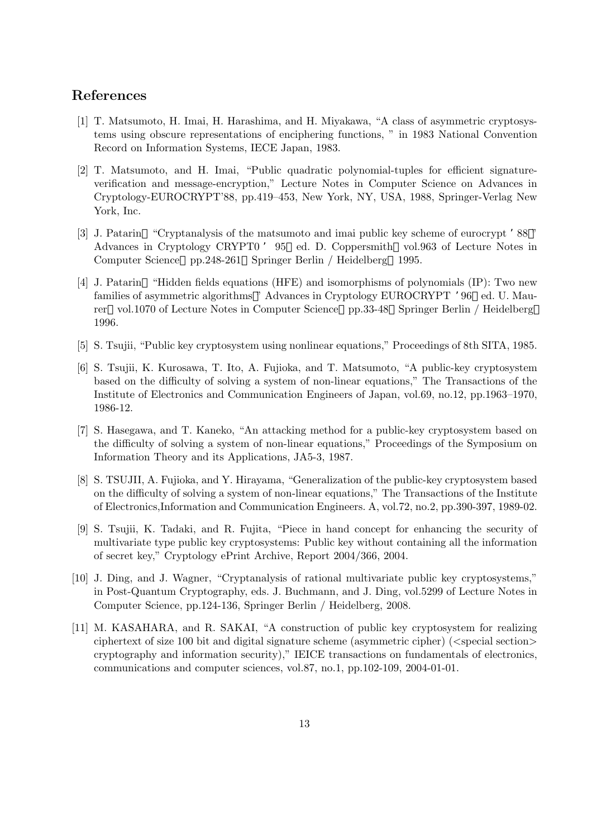# **References**

- [1] T. Matsumoto, H. Imai, H. Harashima, and H. Miyakawa, "A class of asymmetric cryptosystems using obscure representations of enciphering functions, " in 1983 National Convention Record on Information Systems, IECE Japan, 1983.
- [2] T. Matsumoto, and H. Imai, "Public quadratic polynomial-tuples for efficient signatureverification and message-encryption," Lecture Notes in Computer Science on Advances in Cryptology-EUROCRYPT'88, pp.419–453, New York, NY, USA, 1988, Springer-Verlag New York, Inc.
- [3] J. Patarin "Cryptanalysis of the matsumoto and imai public key scheme of eurocrypt '88 " Advances in Cryptology CRYPT0 ' 95 ed. D. Coppersmith vol.963 of Lecture Notes in Computer Science pp.248-261 Springer Berlin / Heidelberg 1995.
- [4] J. Patarin "Hidden fields equations (HFE) and isomorphisms of polynomials (IP): Two new families of asymmetric algorithms " Advances in Cryptology EUROCRYPT '96 ed. U. Maurer vol.1070 of Lecture Notes in Computer Science pp.33-48 Springer Berlin / Heidelberg 1996.
- [5] S. Tsujii, "Public key cryptosystem using nonlinear equations," Proceedings of 8th SITA, 1985.
- [6] S. Tsujii, K. Kurosawa, T. Ito, A. Fujioka, and T. Matsumoto, "A public-key cryptosystem based on the difficulty of solving a system of non-linear equations," The Transactions of the Institute of Electronics and Communication Engineers of Japan, vol.69, no.12, pp.1963–1970, 1986-12.
- [7] S. Hasegawa, and T. Kaneko, "An attacking method for a public-key cryptosystem based on the difficulty of solving a system of non-linear equations," Proceedings of the Symposium on Information Theory and its Applications, JA5-3, 1987.
- [8] S. TSUJII, A. Fujioka, and Y. Hirayama, "Generalization of the public-key cryptosystem based on the difficulty of solving a system of non-linear equations," The Transactions of the Institute of Electronics,Information and Communication Engineers. A, vol.72, no.2, pp.390-397, 1989-02.
- [9] S. Tsujii, K. Tadaki, and R. Fujita, "Piece in hand concept for enhancing the security of multivariate type public key cryptosystems: Public key without containing all the information of secret key," Cryptology ePrint Archive, Report 2004/366, 2004.
- [10] J. Ding, and J. Wagner, "Cryptanalysis of rational multivariate public key cryptosystems," in Post-Quantum Cryptography, eds. J. Buchmann, and J. Ding, vol.5299 of Lecture Notes in Computer Science, pp.124-136, Springer Berlin / Heidelberg, 2008.
- [11] M. KASAHARA, and R. SAKAI, "A construction of public key cryptosystem for realizing ciphertext of size 100 bit and digital signature scheme (asymmetric cipher) (*<*special section*>* cryptography and information security)," IEICE transactions on fundamentals of electronics, communications and computer sciences, vol.87, no.1, pp.102-109, 2004-01-01.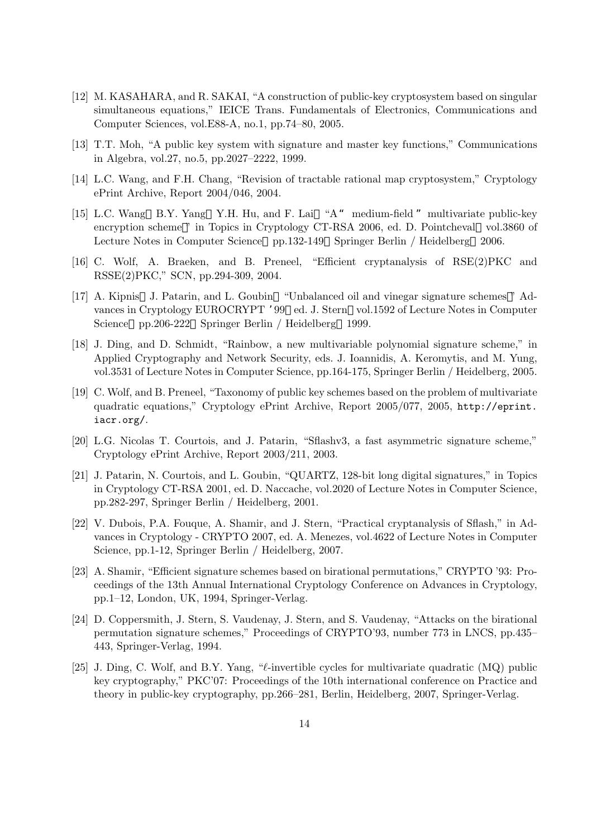- [12] M. KASAHARA, and R. SAKAI, "A construction of public-key cryptosystem based on singular simultaneous equations," IEICE Trans. Fundamentals of Electronics, Communications and Computer Sciences, vol.E88-A, no.1, pp.74–80, 2005.
- [13] T.T. Moh, "A public key system with signature and master key functions," Communications in Algebra, vol.27, no.5, pp.2027–2222, 1999.
- [14] L.C. Wang, and F.H. Chang, "Revision of tractable rational map cryptosystem," Cryptology ePrint Archive, Report 2004/046, 2004.
- [15] L.C. Wang B.Y. Yang Y.H. Hu, and F. Lai "A" medium-field "multivariate public-key encryption scheme " in Topics in Cryptology CT-RSA 2006, ed. D. Pointcheval vol.3860 of Lecture Notes in Computer Science pp.132-149 Springer Berlin / Heidelberg 2006.
- [16] C. Wolf, A. Braeken, and B. Preneel, "Efficient cryptanalysis of RSE(2)PKC and RSSE(2)PKC," SCN, pp.294-309, 2004.
- [17] A. Kipnis J. Patarin, and L. Goubin "Unbalanced oil and vinegar signature schemes " Advances in Cryptology EUROCRYPT '99 ed. J. Stern vol.1592 of Lecture Notes in Computer Science pp.206-222 Springer Berlin / Heidelberg 1999.
- [18] J. Ding, and D. Schmidt, "Rainbow, a new multivariable polynomial signature scheme," in Applied Cryptography and Network Security, eds. J. Ioannidis, A. Keromytis, and M. Yung, vol.3531 of Lecture Notes in Computer Science, pp.164-175, Springer Berlin / Heidelberg, 2005.
- [19] C. Wolf, and B. Preneel, "Taxonomy of public key schemes based on the problem of multivariate quadratic equations," Cryptology ePrint Archive, Report 2005/077, 2005, http://eprint. iacr.org/.
- [20] L.G. Nicolas T. Courtois, and J. Patarin, "Sflashv3, a fast asymmetric signature scheme," Cryptology ePrint Archive, Report 2003/211, 2003.
- [21] J. Patarin, N. Courtois, and L. Goubin, "QUARTZ, 128-bit long digital signatures," in Topics in Cryptology CT-RSA 2001, ed. D. Naccache, vol.2020 of Lecture Notes in Computer Science, pp.282-297, Springer Berlin / Heidelberg, 2001.
- [22] V. Dubois, P.A. Fouque, A. Shamir, and J. Stern, "Practical cryptanalysis of Sflash," in Advances in Cryptology - CRYPTO 2007, ed. A. Menezes, vol.4622 of Lecture Notes in Computer Science, pp.1-12, Springer Berlin / Heidelberg, 2007.
- [23] A. Shamir, "Efficient signature schemes based on birational permutations," CRYPTO '93: Proceedings of the 13th Annual International Cryptology Conference on Advances in Cryptology, pp.1–12, London, UK, 1994, Springer-Verlag.
- [24] D. Coppersmith, J. Stern, S. Vaudenay, J. Stern, and S. Vaudenay, "Attacks on the birational permutation signature schemes," Proceedings of CRYPTO'93, number 773 in LNCS, pp.435– 443, Springer-Verlag, 1994.
- [25] J. Ding, C. Wolf, and B.Y. Yang, "*ℓ*-invertible cycles for multivariate quadratic (MQ) public key cryptography," PKC'07: Proceedings of the 10th international conference on Practice and theory in public-key cryptography, pp.266–281, Berlin, Heidelberg, 2007, Springer-Verlag.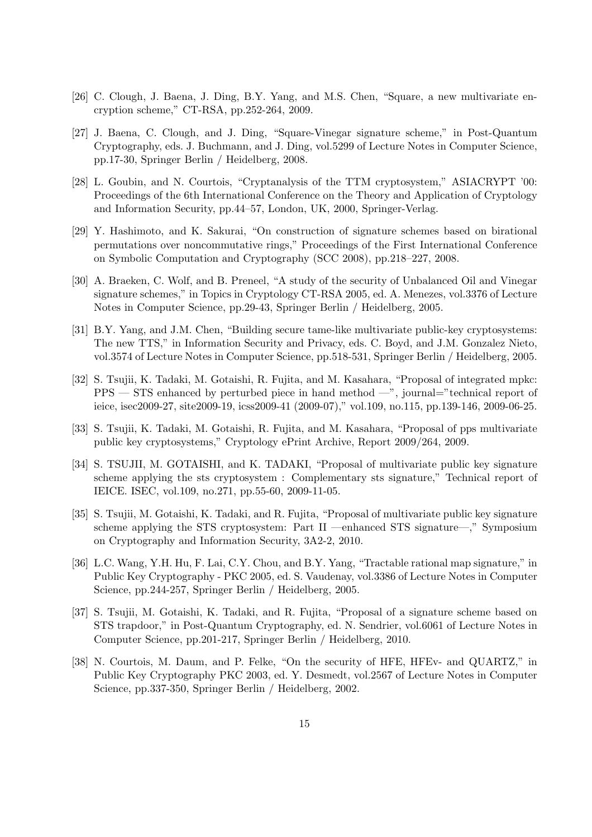- [26] C. Clough, J. Baena, J. Ding, B.Y. Yang, and M.S. Chen, "Square, a new multivariate encryption scheme," CT-RSA, pp.252-264, 2009.
- [27] J. Baena, C. Clough, and J. Ding, "Square-Vinegar signature scheme," in Post-Quantum Cryptography, eds. J. Buchmann, and J. Ding, vol.5299 of Lecture Notes in Computer Science, pp.17-30, Springer Berlin / Heidelberg, 2008.
- [28] L. Goubin, and N. Courtois, "Cryptanalysis of the TTM cryptosystem," ASIACRYPT '00: Proceedings of the 6th International Conference on the Theory and Application of Cryptology and Information Security, pp.44–57, London, UK, 2000, Springer-Verlag.
- [29] Y. Hashimoto, and K. Sakurai, "On construction of signature schemes based on birational permutations over noncommutative rings," Proceedings of the First International Conference on Symbolic Computation and Cryptography (SCC 2008), pp.218–227, 2008.
- [30] A. Braeken, C. Wolf, and B. Preneel, "A study of the security of Unbalanced Oil and Vinegar signature schemes," in Topics in Cryptology CT-RSA 2005, ed. A. Menezes, vol.3376 of Lecture Notes in Computer Science, pp.29-43, Springer Berlin / Heidelberg, 2005.
- [31] B.Y. Yang, and J.M. Chen, "Building secure tame-like multivariate public-key cryptosystems: The new TTS," in Information Security and Privacy, eds. C. Boyd, and J.M. Gonzalez Nieto, vol.3574 of Lecture Notes in Computer Science, pp.518-531, Springer Berlin / Heidelberg, 2005.
- [32] S. Tsujii, K. Tadaki, M. Gotaishi, R. Fujita, and M. Kasahara, "Proposal of integrated mpkc: PPS — STS enhanced by perturbed piece in hand method —", journal="technical report of ieice, isec2009-27, site2009-19, icss2009-41 (2009-07)," vol.109, no.115, pp.139-146, 2009-06-25.
- [33] S. Tsujii, K. Tadaki, M. Gotaishi, R. Fujita, and M. Kasahara, "Proposal of pps multivariate public key cryptosystems," Cryptology ePrint Archive, Report 2009/264, 2009.
- [34] S. TSUJII, M. GOTAISHI, and K. TADAKI, "Proposal of multivariate public key signature scheme applying the sts cryptosystem : Complementary sts signature," Technical report of IEICE. ISEC, vol.109, no.271, pp.55-60, 2009-11-05.
- [35] S. Tsujii, M. Gotaishi, K. Tadaki, and R. Fujita, "Proposal of multivariate public key signature scheme applying the STS cryptosystem: Part II —enhanced STS signature—," Symposium on Cryptography and Information Security, 3A2-2, 2010.
- [36] L.C. Wang, Y.H. Hu, F. Lai, C.Y. Chou, and B.Y. Yang, "Tractable rational map signature," in Public Key Cryptography - PKC 2005, ed. S. Vaudenay, vol.3386 of Lecture Notes in Computer Science, pp.244-257, Springer Berlin / Heidelberg, 2005.
- [37] S. Tsujii, M. Gotaishi, K. Tadaki, and R. Fujita, "Proposal of a signature scheme based on STS trapdoor," in Post-Quantum Cryptography, ed. N. Sendrier, vol.6061 of Lecture Notes in Computer Science, pp.201-217, Springer Berlin / Heidelberg, 2010.
- [38] N. Courtois, M. Daum, and P. Felke, "On the security of HFE, HFEv- and QUARTZ," in Public Key Cryptography PKC 2003, ed. Y. Desmedt, vol.2567 of Lecture Notes in Computer Science, pp.337-350, Springer Berlin / Heidelberg, 2002.